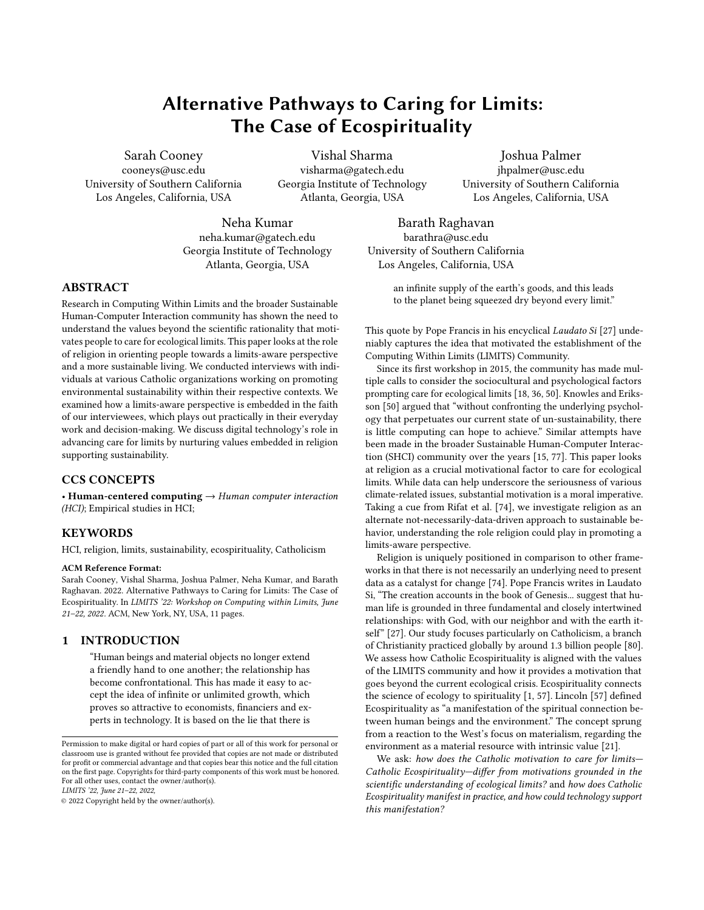# Alternative Pathways to Caring for Limits: The Case of Ecospirituality

Sarah Cooney cooneys@usc.edu University of Southern California Los Angeles, California, USA

Vishal Sharma visharma@gatech.edu Georgia Institute of Technology Atlanta, Georgia, USA

Joshua Palmer jhpalmer@usc.edu University of Southern California Los Angeles, California, USA

Neha Kumar neha.kumar@gatech.edu Georgia Institute of Technology Atlanta, Georgia, USA

Barath Raghavan barathra@usc.edu University of Southern California Los Angeles, California, USA

> an infinite supply of the earth's goods, and this leads to the planet being squeezed dry beyond every limit."

ABSTRACT

Research in Computing Within Limits and the broader Sustainable Human-Computer Interaction community has shown the need to understand the values beyond the scientific rationality that motivates people to care for ecological limits. This paper looks at the role of religion in orienting people towards a limits-aware perspective and a more sustainable living. We conducted interviews with individuals at various Catholic organizations working on promoting environmental sustainability within their respective contexts. We examined how a limits-aware perspective is embedded in the faith of our interviewees, which plays out practically in their everyday work and decision-making. We discuss digital technology's role in advancing care for limits by nurturing values embedded in religion supporting sustainability.

## CCS CONCEPTS

• Human-centered computing  $\rightarrow$  Human computer interaction (HCI); Empirical studies in HCI;

#### KEYWORDS

HCI, religion, limits, sustainability, ecospirituality, Catholicism

#### ACM Reference Format:

Sarah Cooney, Vishal Sharma, Joshua Palmer, Neha Kumar, and Barath Raghavan. 2022. Alternative Pathways to Caring for Limits: The Case of Ecospirituality. In LIMITS '22: Workshop on Computing within Limits, June 21–22, 2022. ACM, New York, NY, USA, [11](#page-10-0) pages.

#### 1 INTRODUCTION

"Human beings and material objects no longer extend a friendly hand to one another; the relationship has become confrontational. This has made it easy to accept the idea of infinite or unlimited growth, which proves so attractive to economists, financiers and experts in technology. It is based on the lie that there is

LIMITS '22, June 21–22, 2022,

© 2022 Copyright held by the owner/author(s).

This quote by Pope Francis in his encyclical Laudato Si [\[27\]](#page-9-0) undeniably captures the idea that motivated the establishment of the

Computing Within Limits (LIMITS) Community. Since its first workshop in 2015, the community has made multiple calls to consider the sociocultural and psychological factors prompting care for ecological limits [\[18,](#page-9-1) [36,](#page-9-2) [50\]](#page-9-3). Knowles and Eriksson [\[50\]](#page-9-3) argued that "without confronting the underlying psychology that perpetuates our current state of un-sustainability, there is little computing can hope to achieve." Similar attempts have been made in the broader Sustainable Human-Computer Interaction (SHCI) community over the years [\[15,](#page-9-4) [77\]](#page-10-1). This paper looks at religion as a crucial motivational factor to care for ecological limits. While data can help underscore the seriousness of various climate-related issues, substantial motivation is a moral imperative. Taking a cue from Rifat et al. [\[74\]](#page-10-2), we investigate religion as an alternate not-necessarily-data-driven approach to sustainable behavior, understanding the role religion could play in promoting a limits-aware perspective.

Religion is uniquely positioned in comparison to other frameworks in that there is not necessarily an underlying need to present data as a catalyst for change [\[74\]](#page-10-2). Pope Francis writes in Laudato Si, "The creation accounts in the book of Genesis... suggest that human life is grounded in three fundamental and closely intertwined relationships: with God, with our neighbor and with the earth itself" [\[27\]](#page-9-0). Our study focuses particularly on Catholicism, a branch of Christianity practiced globally by around 1.3 billion people [\[80\]](#page-10-3). We assess how Catholic Ecospirituality is aligned with the values of the LIMITS community and how it provides a motivation that goes beyond the current ecological crisis. Ecospirituality connects the science of ecology to spirituality [\[1,](#page-8-0) [57\]](#page-9-5). Lincoln [\[57\]](#page-9-5) defined Ecospirituality as "a manifestation of the spiritual connection between human beings and the environment." The concept sprung from a reaction to the West's focus on materialism, regarding the environment as a material resource with intrinsic value [\[21\]](#page-9-6).

We ask: how does the Catholic motivation to care for limits-Catholic Ecospirituality—differ from motivations grounded in the scientific understanding of ecological limits? and how does Catholic Ecospirituality manifest in practice, and how could technology support this manifestation?

Permission to make digital or hard copies of part or all of this work for personal or classroom use is granted without fee provided that copies are not made or distributed for profit or commercial advantage and that copies bear this notice and the full citation on the first page. Copyrights for third-party components of this work must be honored. For all other uses, contact the owner/author(s).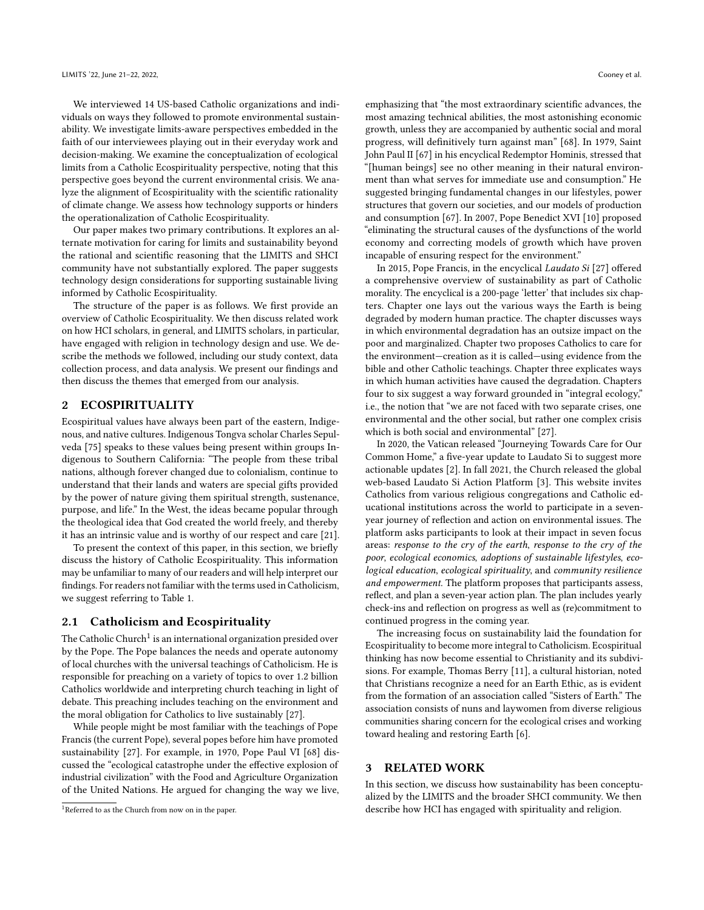We interviewed 14 US-based Catholic organizations and individuals on ways they followed to promote environmental sustainability. We investigate limits-aware perspectives embedded in the faith of our interviewees playing out in their everyday work and decision-making. We examine the conceptualization of ecological limits from a Catholic Ecospirituality perspective, noting that this perspective goes beyond the current environmental crisis. We analyze the alignment of Ecospirituality with the scientific rationality of climate change. We assess how technology supports or hinders the operationalization of Catholic Ecospirituality.

Our paper makes two primary contributions. It explores an alternate motivation for caring for limits and sustainability beyond the rational and scientific reasoning that the LIMITS and SHCI community have not substantially explored. The paper suggests technology design considerations for supporting sustainable living informed by Catholic Ecospirituality.

The structure of the paper is as follows. We first provide an overview of Catholic Ecospirituality. We then discuss related work on how HCI scholars, in general, and LIMITS scholars, in particular, have engaged with religion in technology design and use. We describe the methods we followed, including our study context, data collection process, and data analysis. We present our findings and then discuss the themes that emerged from our analysis.

#### 2 ECOSPIRITUALITY

Ecospiritual values have always been part of the eastern, Indigenous, and native cultures. Indigenous Tongva scholar Charles Sepulveda [\[75\]](#page-10-4) speaks to these values being present within groups Indigenous to Southern California: "The people from these tribal nations, although forever changed due to colonialism, continue to understand that their lands and waters are special gifts provided by the power of nature giving them spiritual strength, sustenance, purpose, and life." In the West, the ideas became popular through the theological idea that God created the world freely, and thereby it has an intrinsic value and is worthy of our respect and care [\[21\]](#page-9-6).

To present the context of this paper, in this section, we briefly discuss the history of Catholic Ecospirituality. This information may be unfamiliar to many of our readers and will help interpret our findings. For readers not familiar with the terms used in Catholicism, we suggest referring to Table [1.](#page-2-0)

#### 2.1 Catholicism and Ecospirituality

The Catholic Church<sup>[1](#page-1-0)</sup> is an international organization presided over by the Pope. The Pope balances the needs and operate autonomy of local churches with the universal teachings of Catholicism. He is responsible for preaching on a variety of topics to over 1.2 billion Catholics worldwide and interpreting church teaching in light of debate. This preaching includes teaching on the environment and the moral obligation for Catholics to live sustainably [\[27\]](#page-9-0).

While people might be most familiar with the teachings of Pope Francis (the current Pope), several popes before him have promoted sustainability [\[27\]](#page-9-0). For example, in 1970, Pope Paul VI [\[68\]](#page-10-5) discussed the "ecological catastrophe under the effective explosion of industrial civilization" with the Food and Agriculture Organization of the United Nations. He argued for changing the way we live,

emphasizing that "the most extraordinary scientific advances, the most amazing technical abilities, the most astonishing economic growth, unless they are accompanied by authentic social and moral progress, will definitively turn against man" [\[68\]](#page-10-5). In 1979, Saint John Paul II [\[67\]](#page-10-6) in his encyclical Redemptor Hominis, stressed that "[human beings] see no other meaning in their natural environment than what serves for immediate use and consumption." He suggested bringing fundamental changes in our lifestyles, power structures that govern our societies, and our models of production and consumption [\[67\]](#page-10-6). In 2007, Pope Benedict XVI [\[10\]](#page-9-7) proposed "eliminating the structural causes of the dysfunctions of the world economy and correcting models of growth which have proven incapable of ensuring respect for the environment."

In 2015, Pope Francis, in the encyclical Laudato Si [\[27\]](#page-9-0) offered a comprehensive overview of sustainability as part of Catholic morality. The encyclical is a 200-page 'letter' that includes six chapters. Chapter one lays out the various ways the Earth is being degraded by modern human practice. The chapter discusses ways in which environmental degradation has an outsize impact on the poor and marginalized. Chapter two proposes Catholics to care for the environment—creation as it is called—using evidence from the bible and other Catholic teachings. Chapter three explicates ways in which human activities have caused the degradation. Chapters four to six suggest a way forward grounded in "integral ecology," i.e., the notion that "we are not faced with two separate crises, one environmental and the other social, but rather one complex crisis which is both social and environmental" [\[27\]](#page-9-0).

In 2020, the Vatican released "Journeying Towards Care for Our Common Home," a five-year update to Laudato Si to suggest more actionable updates [\[2\]](#page-8-1). In fall 2021, the Church released the global web-based Laudato Si Action Platform [\[3\]](#page-8-2). This website invites Catholics from various religious congregations and Catholic educational institutions across the world to participate in a sevenyear journey of reflection and action on environmental issues. The platform asks participants to look at their impact in seven focus areas: response to the cry of the earth, response to the cry of the poor, ecological economics, adoptions of sustainable lifestyles, ecological education, ecological spirituality, and community resilience and empowerment. The platform proposes that participants assess, reflect, and plan a seven-year action plan. The plan includes yearly check-ins and reflection on progress as well as (re)commitment to continued progress in the coming year.

The increasing focus on sustainability laid the foundation for Ecospirituality to become more integral to Catholicism. Ecospiritual thinking has now become essential to Christianity and its subdivisions. For example, Thomas Berry [\[11\]](#page-9-8), a cultural historian, noted that Christians recognize a need for an Earth Ethic, as is evident from the formation of an association called "Sisters of Earth." The association consists of nuns and laywomen from diverse religious communities sharing concern for the ecological crises and working toward healing and restoring Earth [\[6\]](#page-8-3).

# 3 RELATED WORK

In this section, we discuss how sustainability has been conceptualized by the LIMITS and the broader SHCI community. We then describe how HCI has engaged with spirituality and religion.

<span id="page-1-0"></span><sup>1</sup>Referred to as the Church from now on in the paper.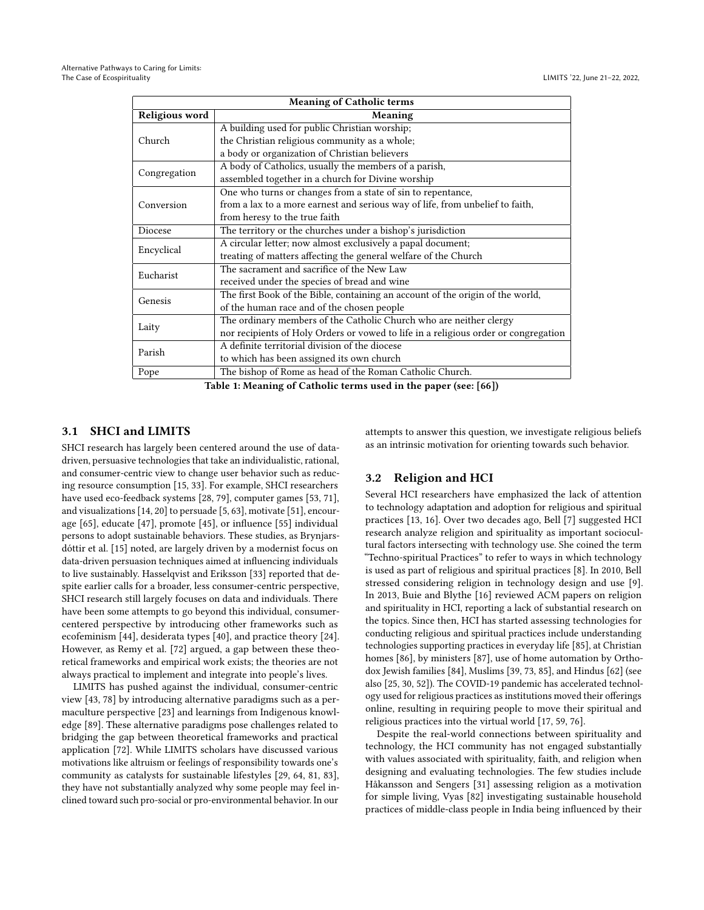<span id="page-2-0"></span>

| <b>Meaning of Catholic terms</b> |                                                                                     |  |  |  |  |  |
|----------------------------------|-------------------------------------------------------------------------------------|--|--|--|--|--|
| Religious word                   | Meaning                                                                             |  |  |  |  |  |
|                                  | A building used for public Christian worship;                                       |  |  |  |  |  |
| Church                           | the Christian religious community as a whole;                                       |  |  |  |  |  |
|                                  | a body or organization of Christian believers                                       |  |  |  |  |  |
| Congregation                     | A body of Catholics, usually the members of a parish,                               |  |  |  |  |  |
|                                  | assembled together in a church for Divine worship                                   |  |  |  |  |  |
| Conversion                       | One who turns or changes from a state of sin to repentance,                         |  |  |  |  |  |
|                                  | from a lax to a more earnest and serious way of life, from unbelief to faith,       |  |  |  |  |  |
|                                  | from heresy to the true faith                                                       |  |  |  |  |  |
| Diocese                          | The territory or the churches under a bishop's jurisdiction                         |  |  |  |  |  |
| Encyclical                       | A circular letter; now almost exclusively a papal document;                         |  |  |  |  |  |
|                                  | treating of matters affecting the general welfare of the Church                     |  |  |  |  |  |
| Eucharist                        | The sacrament and sacrifice of the New Law                                          |  |  |  |  |  |
|                                  | received under the species of bread and wine                                        |  |  |  |  |  |
| Genesis                          | The first Book of the Bible, containing an account of the origin of the world,      |  |  |  |  |  |
|                                  | of the human race and of the chosen people                                          |  |  |  |  |  |
| Laity                            | The ordinary members of the Catholic Church who are neither clergy                  |  |  |  |  |  |
|                                  | nor recipients of Holy Orders or vowed to life in a religious order or congregation |  |  |  |  |  |
| Parish                           | A definite territorial division of the diocese                                      |  |  |  |  |  |
|                                  | to which has been assigned its own church                                           |  |  |  |  |  |
| Pope                             | The bishop of Rome as head of the Roman Catholic Church.                            |  |  |  |  |  |
|                                  |                                                                                     |  |  |  |  |  |

Table 1: Meaning of Catholic terms used in the paper (see: [\[66\]](#page-10-7))

# 3.1 SHCI and LIMITS

SHCI research has largely been centered around the use of datadriven, persuasive technologies that take an individualistic, rational, and consumer-centric view to change user behavior such as reducing resource consumption [\[15,](#page-9-4) [33\]](#page-9-9). For example, SHCI researchers have used eco-feedback systems [\[28,](#page-9-10) [79\]](#page-10-8), computer games [\[53,](#page-9-11) [71\]](#page-10-9), and visualizations [\[14,](#page-9-12) [20\]](#page-9-13) to persuade [\[5,](#page-8-4) [63\]](#page-10-10), motivate [\[51\]](#page-9-14), encourage [\[65\]](#page-10-11), educate [\[47\]](#page-9-15), promote [\[45\]](#page-9-16), or influence [\[55\]](#page-9-17) individual persons to adopt sustainable behaviors. These studies, as Brynjarsdóttir et al. [\[15\]](#page-9-4) noted, are largely driven by a modernist focus on data-driven persuasion techniques aimed at influencing individuals to live sustainably. Hasselqvist and Eriksson [\[33\]](#page-9-9) reported that despite earlier calls for a broader, less consumer-centric perspective, SHCI research still largely focuses on data and individuals. There have been some attempts to go beyond this individual, consumercentered perspective by introducing other frameworks such as ecofeminism [\[44\]](#page-9-18), desiderata types [\[40\]](#page-9-19), and practice theory [\[24\]](#page-9-20). However, as Remy et al. [\[72\]](#page-10-12) argued, a gap between these theoretical frameworks and empirical work exists; the theories are not always practical to implement and integrate into people's lives.

LIMITS has pushed against the individual, consumer-centric view [\[43,](#page-9-21) [78\]](#page-10-13) by introducing alternative paradigms such as a permaculture perspective [\[23\]](#page-9-22) and learnings from Indigenous knowledge [\[89\]](#page-10-14). These alternative paradigms pose challenges related to bridging the gap between theoretical frameworks and practical application [\[72\]](#page-10-12). While LIMITS scholars have discussed various motivations like altruism or feelings of responsibility towards one's community as catalysts for sustainable lifestyles [\[29,](#page-9-23) [64,](#page-10-15) [81,](#page-10-16) [83\]](#page-10-17), they have not substantially analyzed why some people may feel inclined toward such pro-social or pro-environmental behavior. In our

attempts to answer this question, we investigate religious beliefs as an intrinsic motivation for orienting towards such behavior.

## 3.2 Religion and HCI

Several HCI researchers have emphasized the lack of attention to technology adaptation and adoption for religious and spiritual practices [\[13,](#page-9-24) [16\]](#page-9-25). Over two decades ago, Bell [\[7\]](#page-8-5) suggested HCI research analyze religion and spirituality as important sociocultural factors intersecting with technology use. She coined the term "Techno-spiritual Practices" to refer to ways in which technology is used as part of religious and spiritual practices [\[8\]](#page-8-6). In 2010, Bell stressed considering religion in technology design and use [\[9\]](#page-9-26). In 2013, Buie and Blythe [\[16\]](#page-9-25) reviewed ACM papers on religion and spirituality in HCI, reporting a lack of substantial research on the topics. Since then, HCI has started assessing technologies for conducting religious and spiritual practices include understanding technologies supporting practices in everyday life [\[85\]](#page-10-18), at Christian homes [\[86\]](#page-10-19), by ministers [\[87\]](#page-10-20), use of home automation by Orthodox Jewish families [\[84\]](#page-10-21), Muslims [\[39,](#page-9-27) [73,](#page-10-22) [85\]](#page-10-18), and Hindus [\[62\]](#page-10-23) (see also [\[25,](#page-9-28) [30,](#page-9-29) [52\]](#page-9-30)). The COVID-19 pandemic has accelerated technology used for religious practices as institutions moved their offerings online, resulting in requiring people to move their spiritual and religious practices into the virtual world [\[17,](#page-9-31) [59,](#page-9-32) [76\]](#page-10-24).

Despite the real-world connections between spirituality and technology, the HCI community has not engaged substantially with values associated with spirituality, faith, and religion when designing and evaluating technologies. The few studies include Håkansson and Sengers [\[31\]](#page-9-33) assessing religion as a motivation for simple living, Vyas [\[82\]](#page-10-25) investigating sustainable household practices of middle-class people in India being influenced by their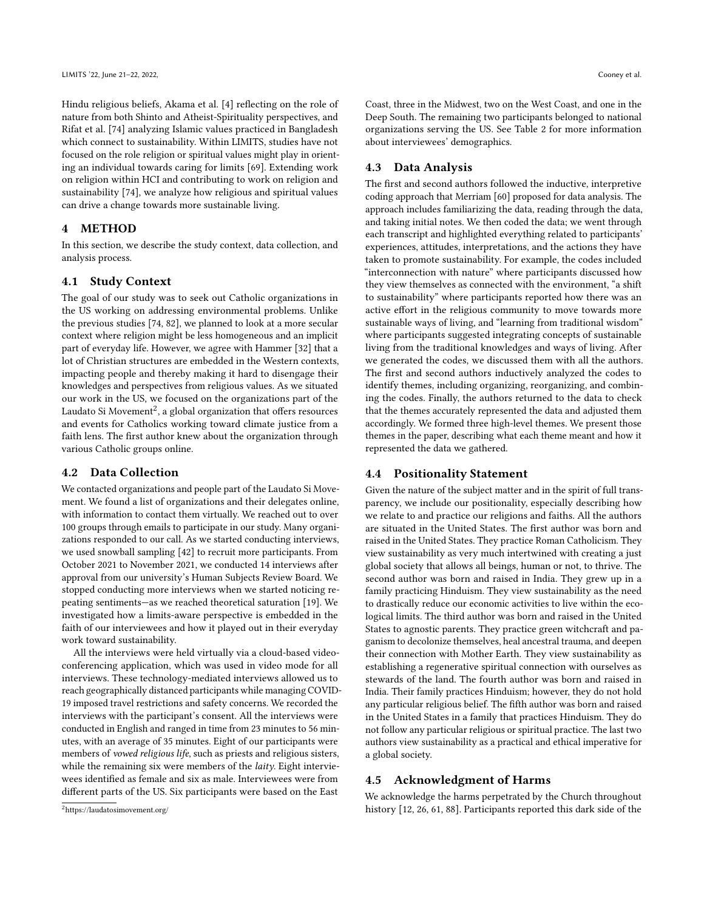Hindu religious beliefs, Akama et al. [\[4\]](#page-8-7) reflecting on the role of nature from both Shinto and Atheist-Spirituality perspectives, and Rifat et al. [\[74\]](#page-10-2) analyzing Islamic values practiced in Bangladesh which connect to sustainability. Within LIMITS, studies have not focused on the role religion or spiritual values might play in orienting an individual towards caring for limits [\[69\]](#page-10-26). Extending work on religion within HCI and contributing to work on religion and sustainability [\[74\]](#page-10-2), we analyze how religious and spiritual values can drive a change towards more sustainable living.

# 4 METHOD

In this section, we describe the study context, data collection, and analysis process.

## 4.1 Study Context

The goal of our study was to seek out Catholic organizations in the US working on addressing environmental problems. Unlike the previous studies [\[74,](#page-10-2) [82\]](#page-10-25), we planned to look at a more secular context where religion might be less homogeneous and an implicit part of everyday life. However, we agree with Hammer [\[32\]](#page-9-34) that a lot of Christian structures are embedded in the Western contexts, impacting people and thereby making it hard to disengage their knowledges and perspectives from religious values. As we situated our work in the US, we focused on the organizations part of the Laudato Si Movement<sup>[2](#page-3-0)</sup>, a global organization that offers resources and events for Catholics working toward climate justice from a faith lens. The first author knew about the organization through various Catholic groups online.

## 4.2 Data Collection

We contacted organizations and people part of the Laudato Si Movement. We found a list of organizations and their delegates online, with information to contact them virtually. We reached out to over 100 groups through emails to participate in our study. Many organizations responded to our call. As we started conducting interviews, we used snowball sampling [\[42\]](#page-9-35) to recruit more participants. From October 2021 to November 2021, we conducted 14 interviews after approval from our university's Human Subjects Review Board. We stopped conducting more interviews when we started noticing repeating sentiments—as we reached theoretical saturation [\[19\]](#page-9-36). We investigated how a limits-aware perspective is embedded in the faith of our interviewees and how it played out in their everyday work toward sustainability.

All the interviews were held virtually via a cloud-based videoconferencing application, which was used in video mode for all interviews. These technology-mediated interviews allowed us to reach geographically distanced participants while managing COVID-19 imposed travel restrictions and safety concerns. We recorded the interviews with the participant's consent. All the interviews were conducted in English and ranged in time from 23 minutes to 56 minutes, with an average of 35 minutes. Eight of our participants were members of vowed religious life, such as priests and religious sisters, while the remaining six were members of the *laity*. Eight interviewees identified as female and six as male. Interviewees were from different parts of the US. Six participants were based on the East

Coast, three in the Midwest, two on the West Coast, and one in the Deep South. The remaining two participants belonged to national organizations serving the US. See Table [2](#page-4-0) for more information about interviewees' demographics.

## 4.3 Data Analysis

The first and second authors followed the inductive, interpretive coding approach that Merriam [\[60\]](#page-9-37) proposed for data analysis. The approach includes familiarizing the data, reading through the data, and taking initial notes. We then coded the data; we went through each transcript and highlighted everything related to participants' experiences, attitudes, interpretations, and the actions they have taken to promote sustainability. For example, the codes included "interconnection with nature" where participants discussed how they view themselves as connected with the environment, "a shift to sustainability" where participants reported how there was an active effort in the religious community to move towards more sustainable ways of living, and "learning from traditional wisdom" where participants suggested integrating concepts of sustainable living from the traditional knowledges and ways of living. After we generated the codes, we discussed them with all the authors. The first and second authors inductively analyzed the codes to identify themes, including organizing, reorganizing, and combining the codes. Finally, the authors returned to the data to check that the themes accurately represented the data and adjusted them accordingly. We formed three high-level themes. We present those themes in the paper, describing what each theme meant and how it represented the data we gathered.

#### 4.4 Positionality Statement

Given the nature of the subject matter and in the spirit of full transparency, we include our positionality, especially describing how we relate to and practice our religions and faiths. All the authors are situated in the United States. The first author was born and raised in the United States. They practice Roman Catholicism. They view sustainability as very much intertwined with creating a just global society that allows all beings, human or not, to thrive. The second author was born and raised in India. They grew up in a family practicing Hinduism. They view sustainability as the need to drastically reduce our economic activities to live within the ecological limits. The third author was born and raised in the United States to agnostic parents. They practice green witchcraft and paganism to decolonize themselves, heal ancestral trauma, and deepen their connection with Mother Earth. They view sustainability as establishing a regenerative spiritual connection with ourselves as stewards of the land. The fourth author was born and raised in India. Their family practices Hinduism; however, they do not hold any particular religious belief. The fifth author was born and raised in the United States in a family that practices Hinduism. They do not follow any particular religious or spiritual practice. The last two authors view sustainability as a practical and ethical imperative for a global society.

#### 4.5 Acknowledgment of Harms

We acknowledge the harms perpetrated by the Church throughout history [\[12,](#page-9-38) [26,](#page-9-39) [61,](#page-9-40) [88\]](#page-10-27). Participants reported this dark side of the

<span id="page-3-0"></span><sup>2</sup><https://laudatosimovement.org/>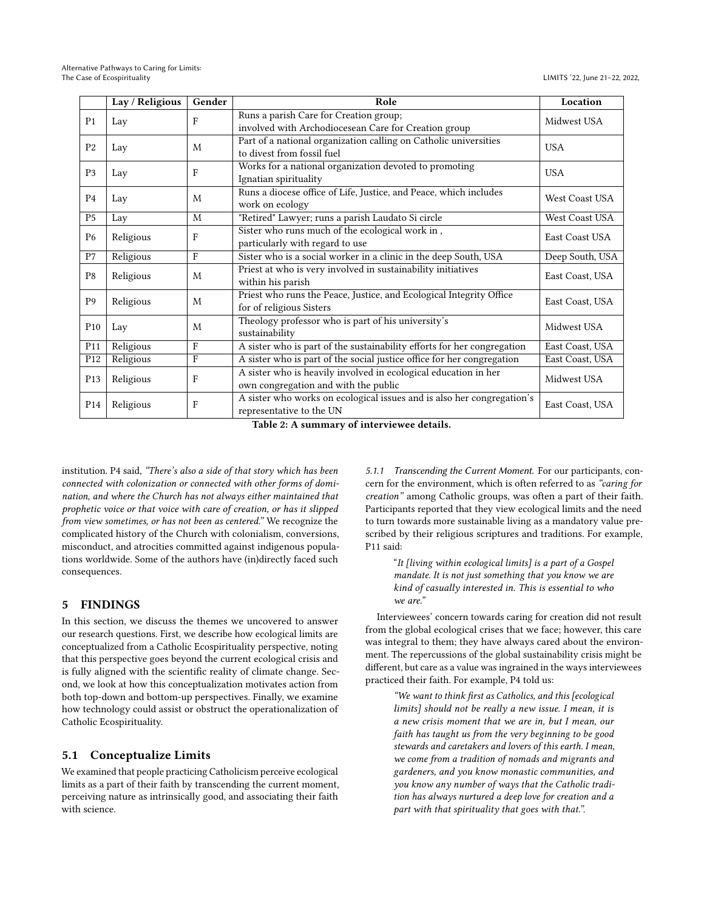<span id="page-4-0"></span>

|                 | Lay / Religious | Gender       | Role                                                                                                    | Location        |
|-----------------|-----------------|--------------|---------------------------------------------------------------------------------------------------------|-----------------|
| P <sub>1</sub>  | Lay             | F            | Runs a parish Care for Creation group;<br>involved with Archodiocesean Care for Creation group          | Midwest USA     |
| P <sub>2</sub>  | Lay             | M            | Part of a national organization calling on Catholic universities<br>to divest from fossil fuel          | <b>USA</b>      |
| P <sub>3</sub>  | Lay             | $\mathbf{F}$ | Works for a national organization devoted to promoting<br>Ignatian spirituality                         | <b>USA</b>      |
| P <sub>4</sub>  | Lay             | M            | Runs a diocese office of Life, Justice, and Peace, which includes<br>work on ecology                    | West Coast USA  |
| P <sub>5</sub>  | Lay             | M            | "Retired" Lawyer; runs a parish Laudato Si circle                                                       | West Coast USA  |
| P <sub>6</sub>  | Religious       | $\mathbf{F}$ | Sister who runs much of the ecological work in,<br>particularly with regard to use                      | East Coast USA  |
| $\rm P7$        | Religious       | F            | Sister who is a social worker in a clinic in the deep South, USA                                        | Deep South, USA |
| P <sub>8</sub>  | Religious       | M            | Priest at who is very involved in sustainability initiatives<br>within his parish                       | East Coast, USA |
| P <sub>9</sub>  | Religious       | M            | Priest who runs the Peace, Justice, and Ecological Integrity Office<br>for of religious Sisters         | East Coast, USA |
| P <sub>10</sub> | Lay             | M            | Theology professor who is part of his university's<br>sustainability                                    | Midwest USA     |
| P <sub>11</sub> | Religious       | $\mathbf F$  | A sister who is part of the sustainability efforts for her congregation                                 | East Coast, USA |
| P <sub>12</sub> | Religious       | F            | A sister who is part of the social justice office for her congregation                                  | East Coast, USA |
| P <sub>13</sub> | Religious       | $\mathbf F$  | A sister who is heavily involved in ecological education in her<br>own congregation and with the public | Midwest USA     |
| P <sub>14</sub> | Religious       | F            | A sister who works on ecological issues and is also her congregation's<br>representative to the UN      | East Coast, USA |

Table 2: A summary of interviewee details.

institution. P4 said, "There's also a side of that story which has been connected with colonization or connected with other forms of domination, and where the Church has not always either maintained that prophetic voice or that voice with care of creation, or has it slipped from view sometimes, or has not been as centered." We recognize the complicated history of the Church with colonialism, conversions, misconduct, and atrocities committed against indigenous populations worldwide. Some of the authors have (in)directly faced such consequences.

## 5 FINDINGS

In this section, we discuss the themes we uncovered to answer our research questions. First, we describe how ecological limits are conceptualized from a Catholic Ecospirituality perspective, noting that this perspective goes beyond the current ecological crisis and is fully aligned with the scientific reality of climate change. Second, we look at how this conceptualization motivates action from both top-down and bottom-up perspectives. Finally, we examine how technology could assist or obstruct the operationalization of Catholic Ecospirituality.

# 5.1 Conceptualize Limits

We examined that people practicing Catholicism perceive ecological limits as a part of their faith by transcending the current moment, perceiving nature as intrinsically good, and associating their faith with science.

5.1.1 Transcending the Current Moment. For our participants, concern for the environment, which is often referred to as "caring for creation" among Catholic groups, was often a part of their faith. Participants reported that they view ecological limits and the need to turn towards more sustainable living as a mandatory value prescribed by their religious scriptures and traditions. For example, P11 said:

> "It [living within ecological limits] is a part of a Gospel mandate. It is not just something that you know we are kind of casually interested in. This is essential to who we are."

Interviewees' concern towards caring for creation did not result from the global ecological crises that we face; however, this care was integral to them; they have always cared about the environment. The repercussions of the global sustainability crisis might be different, but care as a value was ingrained in the ways interviewees practiced their faith. For example, P4 told us:

"We want to think first as Catholics, and this [ecological limits] should not be really a new issue. I mean, it is a new crisis moment that we are in, but I mean, our faith has taught us from the very beginning to be good stewards and caretakers and lovers of this earth. I mean, we come from a tradition of nomads and migrants and gardeners, and you know monastic communities, and you know any number of ways that the Catholic tradition has always nurtured a deep love for creation and a part with that spirituality that goes with that.".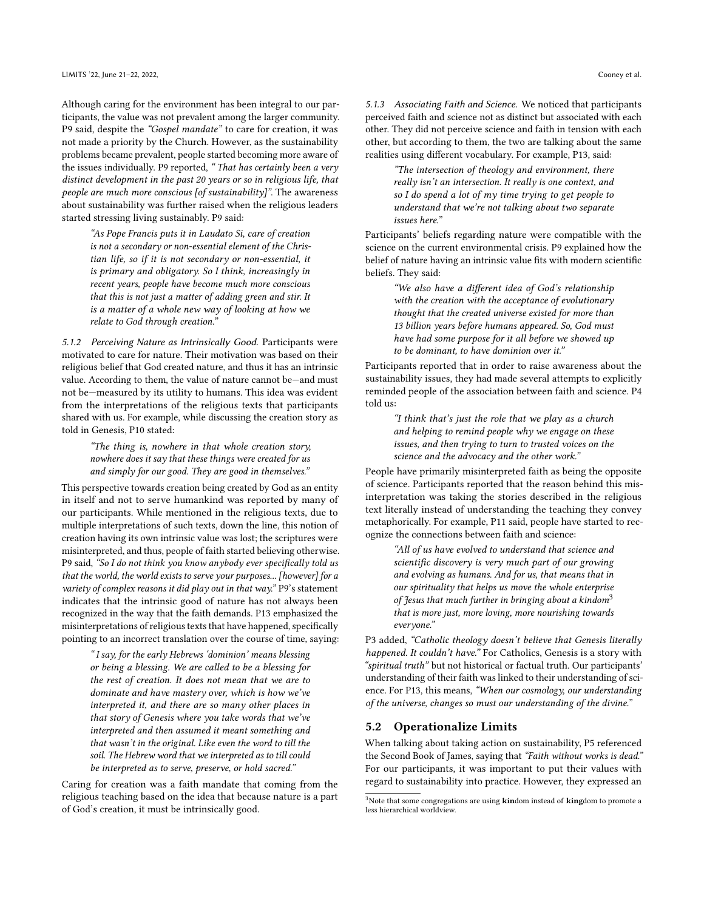Although caring for the environment has been integral to our participants, the value was not prevalent among the larger community. P9 said, despite the "Gospel mandate" to care for creation, it was not made a priority by the Church. However, as the sustainability problems became prevalent, people started becoming more aware of the issues individually. P9 reported, " That has certainly been a very distinct development in the past 20 years or so in religious life, that people are much more conscious [of sustainability]". The awareness about sustainability was further raised when the religious leaders started stressing living sustainably. P9 said:

"As Pope Francis puts it in Laudato Si, care of creation is not a secondary or non-essential element of the Christian life, so if it is not secondary or non-essential, it is primary and obligatory. So I think, increasingly in recent years, people have become much more conscious that this is not just a matter of adding green and stir. It is a matter of a whole new way of looking at how we relate to God through creation."

5.1.2 Perceiving Nature as Intrinsically Good. Participants were motivated to care for nature. Their motivation was based on their religious belief that God created nature, and thus it has an intrinsic value. According to them, the value of nature cannot be—and must not be—measured by its utility to humans. This idea was evident from the interpretations of the religious texts that participants shared with us. For example, while discussing the creation story as told in Genesis, P10 stated:

"The thing is, nowhere in that whole creation story, nowhere does it say that these things were created for us and simply for our good. They are good in themselves."

This perspective towards creation being created by God as an entity in itself and not to serve humankind was reported by many of our participants. While mentioned in the religious texts, due to multiple interpretations of such texts, down the line, this notion of creation having its own intrinsic value was lost; the scriptures were misinterpreted, and thus, people of faith started believing otherwise. P9 said, "So I do not think you know anybody ever specifically told us that the world, the world exists to serve your purposes... [however] for a variety of complex reasons it did play out in that way." P9's statement indicates that the intrinsic good of nature has not always been recognized in the way that the faith demands. P13 emphasized the misinterpretations of religious texts that have happened, specifically pointing to an incorrect translation over the course of time, saying:

" I say, for the early Hebrews 'dominion' means blessing or being a blessing. We are called to be a blessing for the rest of creation. It does not mean that we are to dominate and have mastery over, which is how we've interpreted it, and there are so many other places in that story of Genesis where you take words that we've interpreted and then assumed it meant something and that wasn't in the original. Like even the word to till the soil. The Hebrew word that we interpreted as to till could be interpreted as to serve, preserve, or hold sacred."

Caring for creation was a faith mandate that coming from the religious teaching based on the idea that because nature is a part of God's creation, it must be intrinsically good.

5.1.3 Associating Faith and Science. We noticed that participants perceived faith and science not as distinct but associated with each other. They did not perceive science and faith in tension with each other, but according to them, the two are talking about the same realities using different vocabulary. For example, P13, said:

> "The intersection of theology and environment, there really isn't an intersection. It really is one context, and so I do spend a lot of my time trying to get people to understand that we're not talking about two separate issues here."

Participants' beliefs regarding nature were compatible with the science on the current environmental crisis. P9 explained how the belief of nature having an intrinsic value fits with modern scientific beliefs. They said:

> "We also have a different idea of God's relationship with the creation with the acceptance of evolutionary thought that the created universe existed for more than 13 billion years before humans appeared. So, God must have had some purpose for it all before we showed up to be dominant, to have dominion over it."

Participants reported that in order to raise awareness about the sustainability issues, they had made several attempts to explicitly reminded people of the association between faith and science. P4 told us:

> "I think that's just the role that we play as a church and helping to remind people why we engage on these issues, and then trying to turn to trusted voices on the science and the advocacy and the other work."

People have primarily misinterpreted faith as being the opposite of science. Participants reported that the reason behind this misinterpretation was taking the stories described in the religious text literally instead of understanding the teaching they convey metaphorically. For example, P11 said, people have started to recognize the connections between faith and science:

> "All of us have evolved to understand that science and scientific discovery is very much part of our growing and evolving as humans. And for us, that means that in our spirituality that helps us move the whole enterprise of Jesus that much further in bringing about a kindom<sup>[3](#page-5-0)</sup> that is more just, more loving, more nourishing towards everyone."

P3 added, "Catholic theology doesn't believe that Genesis literally happened. It couldn't have." For Catholics, Genesis is a story with "spiritual truth" but not historical or factual truth. Our participants' understanding of their faith was linked to their understanding of science. For P13, this means, "When our cosmology, our understanding of the universe, changes so must our understanding of the divine."

# 5.2 Operationalize Limits

When talking about taking action on sustainability, P5 referenced the Second Book of James, saying that "Faith without works is dead." For our participants, it was important to put their values with regard to sustainability into practice. However, they expressed an

<span id="page-5-0"></span> $3$ Note that some congregations are using  $\boldsymbol{\textbf{k}}$  indom instead of  $\boldsymbol{\textbf{k}}$  ingdom to promote a less hierarchical worldview.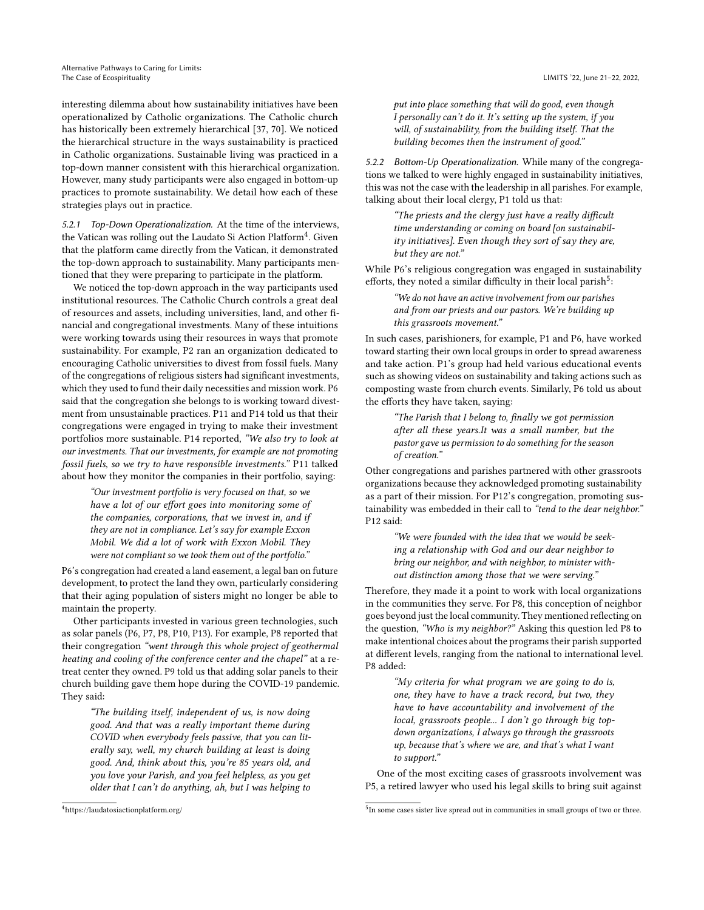interesting dilemma about how sustainability initiatives have been operationalized by Catholic organizations. The Catholic church has historically been extremely hierarchical [\[37,](#page-9-41) [70\]](#page-10-28). We noticed the hierarchical structure in the ways sustainability is practiced in Catholic organizations. Sustainable living was practiced in a top-down manner consistent with this hierarchical organization. However, many study participants were also engaged in bottom-up practices to promote sustainability. We detail how each of these strategies plays out in practice.

5.2.1 Top-Down Operationalization. At the time of the interviews, the Vatican was rolling out the Laudato Si Action Platform<sup>[4](#page-6-0)</sup>. Given that the platform came directly from the Vatican, it demonstrated the top-down approach to sustainability. Many participants mentioned that they were preparing to participate in the platform.

We noticed the top-down approach in the way participants used institutional resources. The Catholic Church controls a great deal of resources and assets, including universities, land, and other financial and congregational investments. Many of these intuitions were working towards using their resources in ways that promote sustainability. For example, P2 ran an organization dedicated to encouraging Catholic universities to divest from fossil fuels. Many of the congregations of religious sisters had significant investments, which they used to fund their daily necessities and mission work. P6 said that the congregation she belongs to is working toward divestment from unsustainable practices. P11 and P14 told us that their congregations were engaged in trying to make their investment portfolios more sustainable. P14 reported, "We also try to look at our investments. That our investments, for example are not promoting fossil fuels, so we try to have responsible investments." P11 talked about how they monitor the companies in their portfolio, saying:

"Our investment portfolio is very focused on that, so we have a lot of our effort goes into monitoring some of the companies, corporations, that we invest in, and if they are not in compliance. Let's say for example Exxon Mobil. We did a lot of work with Exxon Mobil. They were not compliant so we took them out of the portfolio."

P6's congregation had created a land easement, a legal ban on future development, to protect the land they own, particularly considering that their aging population of sisters might no longer be able to maintain the property.

Other participants invested in various green technologies, such as solar panels (P6, P7, P8, P10, P13). For example, P8 reported that their congregation "went through this whole project of geothermal heating and cooling of the conference center and the chapel" at a retreat center they owned. P9 told us that adding solar panels to their church building gave them hope during the COVID-19 pandemic. They said:

"The building itself, independent of us, is now doing good. And that was a really important theme during COVID when everybody feels passive, that you can literally say, well, my church building at least is doing good. And, think about this, you're 85 years old, and you love your Parish, and you feel helpless, as you get older that I can't do anything, ah, but I was helping to

put into place something that will do good, even though I personally can't do it. It's setting up the system, if you will, of sustainability, from the building itself. That the building becomes then the instrument of good."

5.2.2 Bottom-Up Operationalization. While many of the congregations we talked to were highly engaged in sustainability initiatives, this was not the case with the leadership in all parishes. For example, talking about their local clergy, P1 told us that:

> "The priests and the clergy just have a really difficult time understanding or coming on board [on sustainability initiatives]. Even though they sort of say they are, but they are not."

While P6's religious congregation was engaged in sustainability efforts, they noted a similar difficulty in their local parish<sup>[5](#page-6-1)</sup>:

> "We do not have an active involvement from our parishes and from our priests and our pastors. We're building up this grassroots movement."

In such cases, parishioners, for example, P1 and P6, have worked toward starting their own local groups in order to spread awareness and take action. P1's group had held various educational events such as showing videos on sustainability and taking actions such as composting waste from church events. Similarly, P6 told us about the efforts they have taken, saying:

> "The Parish that I belong to, finally we got permission after all these years.It was a small number, but the pastor gave us permission to do something for the season of creation."

Other congregations and parishes partnered with other grassroots organizations because they acknowledged promoting sustainability as a part of their mission. For P12's congregation, promoting sustainability was embedded in their call to "tend to the dear neighbor." P12 said:

> "We were founded with the idea that we would be seeking a relationship with God and our dear neighbor to bring our neighbor, and with neighbor, to minister without distinction among those that we were serving."

Therefore, they made it a point to work with local organizations in the communities they serve. For P8, this conception of neighbor goes beyond just the local community. They mentioned reflecting on the question, "Who is my neighbor?" Asking this question led P8 to make intentional choices about the programs their parish supported at different levels, ranging from the national to international level. P8 added:

> "My criteria for what program we are going to do is, one, they have to have a track record, but two, they have to have accountability and involvement of the local, grassroots people... I don't go through big topdown organizations, I always go through the grassroots up, because that's where we are, and that's what I want to support."

One of the most exciting cases of grassroots involvement was P5, a retired lawyer who used his legal skills to bring suit against

<span id="page-6-0"></span><sup>4</sup><https://laudatosiactionplatform.org/>

<span id="page-6-1"></span><sup>&</sup>lt;sup>5</sup>In some cases sister live spread out in communities in small groups of two or three.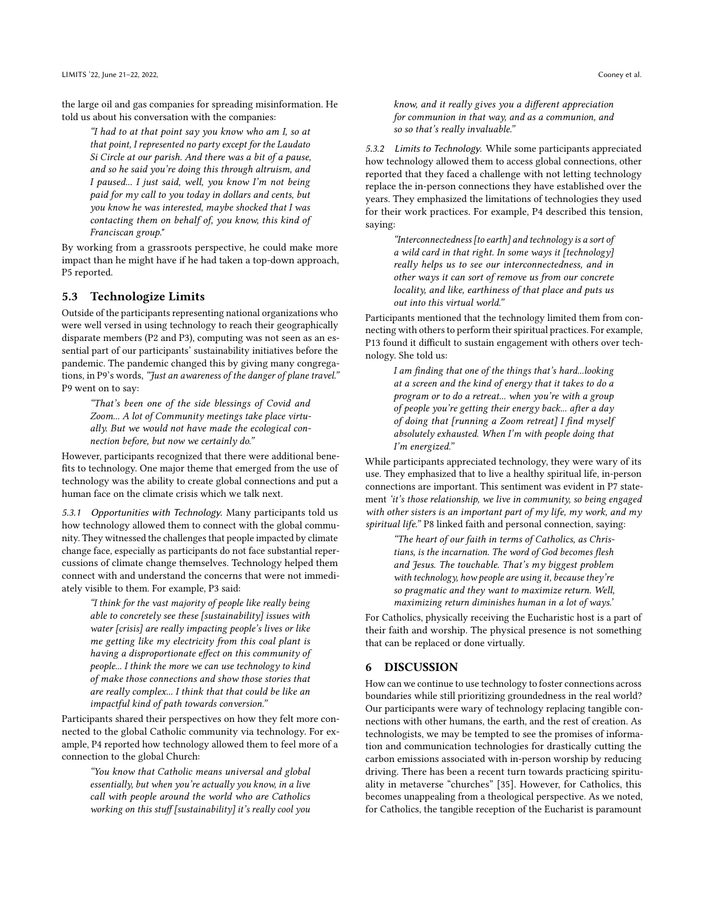the large oil and gas companies for spreading misinformation. He told us about his conversation with the companies:

"I had to at that point say you know who am I, so at that point, I represented no party except for the Laudato Si Circle at our parish. And there was a bit of a pause, and so he said you're doing this through altruism, and I paused... I just said, well, you know I'm not being paid for my call to you today in dollars and cents, but you know he was interested, maybe shocked that I was contacting them on behalf of, you know, this kind of Franciscan group."

By working from a grassroots perspective, he could make more impact than he might have if he had taken a top-down approach, P5 reported.

#### 5.3 Technologize Limits

Outside of the participants representing national organizations who were well versed in using technology to reach their geographically disparate members (P2 and P3), computing was not seen as an essential part of our participants' sustainability initiatives before the pandemic. The pandemic changed this by giving many congregations, in P9's words, "Just an awareness of the danger of plane travel." P9 went on to say:

"That's been one of the side blessings of Covid and Zoom... A lot of Community meetings take place virtually. But we would not have made the ecological connection before, but now we certainly do."

However, participants recognized that there were additional benefits to technology. One major theme that emerged from the use of technology was the ability to create global connections and put a human face on the climate crisis which we talk next.

5.3.1 Opportunities with Technology. Many participants told us how technology allowed them to connect with the global community. They witnessed the challenges that people impacted by climate change face, especially as participants do not face substantial repercussions of climate change themselves. Technology helped them connect with and understand the concerns that were not immediately visible to them. For example, P3 said:

"I think for the vast majority of people like really being able to concretely see these [sustainability] issues with water [crisis] are really impacting people's lives or like me getting like my electricity from this coal plant is having a disproportionate effect on this community of people... I think the more we can use technology to kind of make those connections and show those stories that are really complex... I think that that could be like an impactful kind of path towards conversion."

Participants shared their perspectives on how they felt more connected to the global Catholic community via technology. For example, P4 reported how technology allowed them to feel more of a connection to the global Church:

"You know that Catholic means universal and global essentially, but when you're actually you know, in a live call with people around the world who are Catholics working on this stuff [sustainability] it's really cool you

know, and it really gives you a different appreciation for communion in that way, and as a communion, and so so that's really invaluable."

5.3.2 Limits to Technology. While some participants appreciated how technology allowed them to access global connections, other reported that they faced a challenge with not letting technology replace the in-person connections they have established over the years. They emphasized the limitations of technologies they used for their work practices. For example, P4 described this tension, saying:

> "Interconnectedness [to earth] and technology is a sort of a wild card in that right. In some ways it [technology] really helps us to see our interconnectedness, and in other ways it can sort of remove us from our concrete locality, and like, earthiness of that place and puts us out into this virtual world."

Participants mentioned that the technology limited them from connecting with others to perform their spiritual practices. For example, P13 found it difficult to sustain engagement with others over technology. She told us:

> I am finding that one of the things that's hard...looking at a screen and the kind of energy that it takes to do a program or to do a retreat... when you're with a group of people you're getting their energy back... after a day of doing that [running a Zoom retreat] I find myself absolutely exhausted. When I'm with people doing that I'm energized."

While participants appreciated technology, they were wary of its use. They emphasized that to live a healthy spiritual life, in-person connections are important. This sentiment was evident in P7 statement 'it's those relationship, we live in community, so being engaged with other sisters is an important part of my life, my work, and my spiritual life." P8 linked faith and personal connection, saying:

> "The heart of our faith in terms of Catholics, as Christians, is the incarnation. The word of God becomes flesh and Jesus. The touchable. That's my biggest problem with technology, how people are using it, because they're so pragmatic and they want to maximize return. Well, maximizing return diminishes human in a lot of ways.'

For Catholics, physically receiving the Eucharistic host is a part of their faith and worship. The physical presence is not something that can be replaced or done virtually.

#### 6 DISCUSSION

How can we continue to use technology to foster connections across boundaries while still prioritizing groundedness in the real world? Our participants were wary of technology replacing tangible connections with other humans, the earth, and the rest of creation. As technologists, we may be tempted to see the promises of information and communication technologies for drastically cutting the carbon emissions associated with in-person worship by reducing driving. There has been a recent turn towards practicing spirituality in metaverse "churches" [\[35\]](#page-9-42). However, for Catholics, this becomes unappealing from a theological perspective. As we noted, for Catholics, the tangible reception of the Eucharist is paramount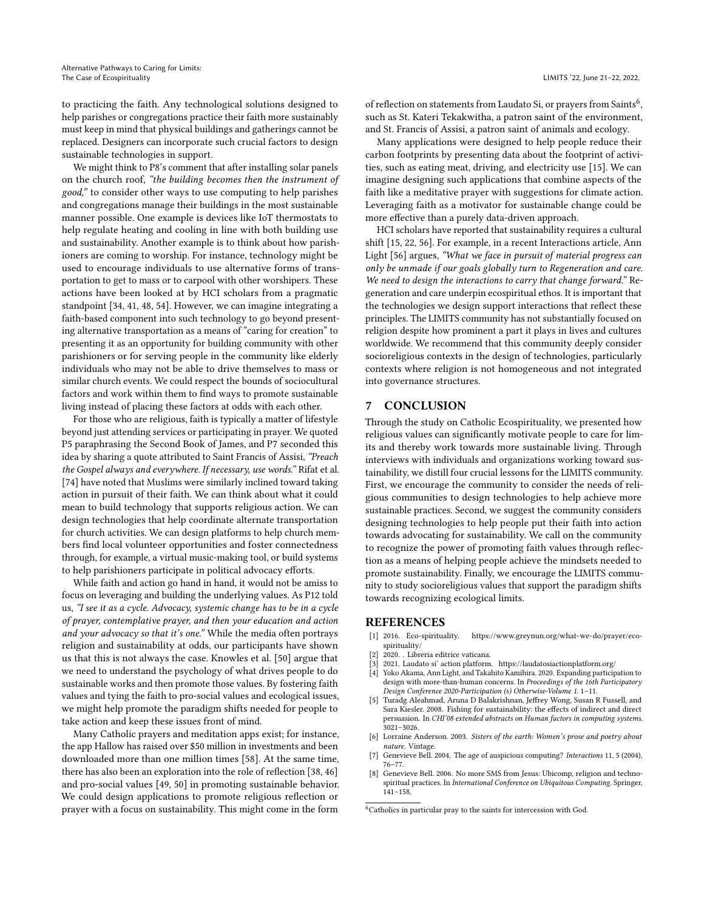to practicing the faith. Any technological solutions designed to help parishes or congregations practice their faith more sustainably must keep in mind that physical buildings and gatherings cannot be replaced. Designers can incorporate such crucial factors to design sustainable technologies in support.

We might think to P8's comment that after installing solar panels on the church roof, "the building becomes then the instrument of good," to consider other ways to use computing to help parishes and congregations manage their buildings in the most sustainable manner possible. One example is devices like IoT thermostats to help regulate heating and cooling in line with both building use and sustainability. Another example is to think about how parishioners are coming to worship. For instance, technology might be used to encourage individuals to use alternative forms of transportation to get to mass or to carpool with other worshipers. These actions have been looked at by HCI scholars from a pragmatic standpoint [\[34,](#page-9-43) [41,](#page-9-44) [48,](#page-9-45) [54\]](#page-9-46). However, we can imagine integrating a faith-based component into such technology to go beyond presenting alternative transportation as a means of "caring for creation" to presenting it as an opportunity for building community with other parishioners or for serving people in the community like elderly individuals who may not be able to drive themselves to mass or similar church events. We could respect the bounds of sociocultural factors and work within them to find ways to promote sustainable living instead of placing these factors at odds with each other.

For those who are religious, faith is typically a matter of lifestyle beyond just attending services or participating in prayer. We quoted P5 paraphrasing the Second Book of James, and P7 seconded this idea by sharing a quote attributed to Saint Francis of Assisi, "Preach the Gospel always and everywhere. If necessary, use words." Rifat et al. [\[74\]](#page-10-2) have noted that Muslims were similarly inclined toward taking action in pursuit of their faith. We can think about what it could mean to build technology that supports religious action. We can design technologies that help coordinate alternate transportation for church activities. We can design platforms to help church members find local volunteer opportunities and foster connectedness through, for example, a virtual music-making tool, or build systems to help parishioners participate in political advocacy efforts.

While faith and action go hand in hand, it would not be amiss to focus on leveraging and building the underlying values. As P12 told us, "I see it as a cycle. Advocacy, systemic change has to be in a cycle of prayer, contemplative prayer, and then your education and action and your advocacy so that it's one." While the media often portrays religion and sustainability at odds, our participants have shown us that this is not always the case. Knowles et al. [\[50\]](#page-9-3) argue that we need to understand the psychology of what drives people to do sustainable works and then promote those values. By fostering faith values and tying the faith to pro-social values and ecological issues, we might help promote the paradigm shifts needed for people to take action and keep these issues front of mind.

Many Catholic prayers and meditation apps exist; for instance, the app Hallow has raised over \$50 million in investments and been downloaded more than one million times [\[58\]](#page-9-47). At the same time, there has also been an exploration into the role of reflection [\[38,](#page-9-48) [46\]](#page-9-49) and pro-social values [\[49,](#page-9-50) [50\]](#page-9-3) in promoting sustainable behavior. We could design applications to promote religious reflection or prayer with a focus on sustainability. This might come in the form

of reflection on statements from Laudato Si, or prayers from Saints $^6$  $^6$ , such as St. Kateri Tekakwitha, a patron saint of the environment, and St. Francis of Assisi, a patron saint of animals and ecology.

Many applications were designed to help people reduce their carbon footprints by presenting data about the footprint of activities, such as eating meat, driving, and electricity use [\[15\]](#page-9-4). We can imagine designing such applications that combine aspects of the faith like a meditative prayer with suggestions for climate action. Leveraging faith as a motivator for sustainable change could be more effective than a purely data-driven approach.

HCI scholars have reported that sustainability requires a cultural shift [\[15,](#page-9-4) [22,](#page-9-51) [56\]](#page-9-52). For example, in a recent Interactions article, Ann Light [\[56\]](#page-9-52) argues, "What we face in pursuit of material progress can only be unmade if our goals globally turn to Regeneration and care. We need to design the interactions to carry that change forward." Regeneration and care underpin ecospiritual ethos. It is important that the technologies we design support interactions that reflect these principles. The LIMITS community has not substantially focused on religion despite how prominent a part it plays in lives and cultures worldwide. We recommend that this community deeply consider socioreligious contexts in the design of technologies, particularly contexts where religion is not homogeneous and not integrated into governance structures.

### 7 CONCLUSION

Through the study on Catholic Ecospirituality, we presented how religious values can significantly motivate people to care for limits and thereby work towards more sustainable living. Through interviews with individuals and organizations working toward sustainability, we distill four crucial lessons for the LIMITS community. First, we encourage the community to consider the needs of religious communities to design technologies to help achieve more sustainable practices. Second, we suggest the community considers designing technologies to help people put their faith into action towards advocating for sustainability. We call on the community to recognize the power of promoting faith values through reflection as a means of helping people achieve the mindsets needed to promote sustainability. Finally, we encourage the LIMITS community to study socioreligious values that support the paradigm shifts towards recognizing ecological limits.

#### REFERENCES

- <span id="page-8-0"></span>[1] 2016. Eco-spirituality. [https://www.greynun.org/what-we-do/prayer/eco](https://www.greynun.org/what-we-do/prayer/eco-spirituality/)[spirituality/](https://www.greynun.org/what-we-do/prayer/eco-spirituality/)
- <span id="page-8-1"></span>[2] 2020. . Libreria editrice vaticana.<br>[3] 2021. Laudato si' action platform
- <span id="page-8-2"></span>2021. Laudato si' action platform. <br><https://laudatosiactionplatform.org/>  $\,$
- <span id="page-8-7"></span>[4] Yoko Akama, Ann Light, and Takahito Kamihira. 2020. Expanding participation to design with more-than-human concerns. In Proceedings of the 16th Participatory Design Conference 2020-Participation (s) Otherwise-Volume 1. 1–11.
- <span id="page-8-4"></span>Turadg Aleahmad, Aruna D Balakrishnan, Jeffrey Wong, Susan R Fussell, and Sara Kiesler. 2008. Fishing for sustainability: the effects of indirect and direct persuasion. In CHI'08 extended abstracts on Human factors in computing systems. 3021–3026.
- <span id="page-8-3"></span>[6] Lorraine Anderson. 2003. Sisters of the earth: Women's prose and poetry about nature. Vintage.
- <span id="page-8-5"></span>[7] Genevieve Bell. 2004. The age of auspicious computing? Interactions 11, 5 (2004), 76–77.
- <span id="page-8-6"></span>[8] Genevieve Bell. 2006. No more SMS from Jesus: Ubicomp, religion and technospiritual practices. In International Conference on Ubiquitous Computing. Springer,  $141 - 158$ .

<span id="page-8-8"></span><sup>6</sup>Catholics in particular pray to the saints for intercession with God.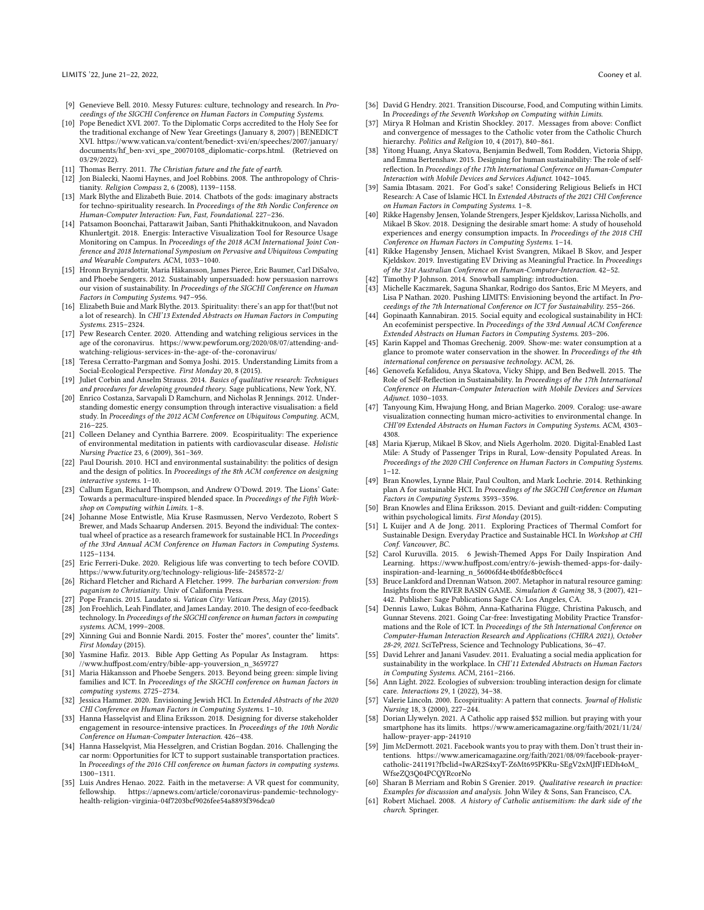- <span id="page-9-26"></span>[9] Genevieve Bell. 2010. Messy Futures: culture, technology and research. In Proceedings of the SIGCHI Conference on Human Factors in Computing Systems.
- <span id="page-9-7"></span>[10] Pope Benedict XVI. 2007. To the Diplomatic Corps accredited to the Holy See for the traditional exchange of New Year Greetings (January 8, 2007) | BENEDICT XVI. [https://www.vatican.va/content/benedict-xvi/en/speeches/2007/january/](https://www.vatican.va/content/benedict-xvi/en/speeches/2007/january/documents/hf_ben-xvi_spe_20070108_diplomatic-corps.html) [documents/hf\\_ben-xvi\\_spe\\_20070108\\_diplomatic-corps.html.](https://www.vatican.va/content/benedict-xvi/en/speeches/2007/january/documents/hf_ben-xvi_spe_20070108_diplomatic-corps.html) (Retrieved on 03/29/2022).
- <span id="page-9-8"></span>[11] Thomas Berry. 2011. The Christian future and the fate of earth.
- <span id="page-9-38"></span>[12] Jon Bialecki, Naomi Haynes, and Joel Robbins. 2008. The anthropology of Christianity. Religion Compass 2, 6 (2008), 1139–1158.
- <span id="page-9-24"></span>[13] Mark Blythe and Elizabeth Buie. 2014. Chatbots of the gods: imaginary abstracts for techno-spirituality research. In Proceedings of the 8th Nordic Conference on Human-Computer Interaction: Fun, Fast, Foundational. 227–236.
- <span id="page-9-12"></span>[14] Patsamon Boonchai, Pattarawit Jaiban, Santi Phithakkitnukoon, and Navadon Khunlertgit. 2018. Energis: Interactive Visualization Tool for Resource Usage Monitoring on Campus. In Proceedings of the 2018 ACM International Joint Conference and 2018 International Symposium on Pervasive and Ubiquitous Computing and Wearable Computers. ACM, 1033–1040.
- <span id="page-9-4"></span>[15] Hronn Brynjarsdottir, Maria Håkansson, James Pierce, Eric Baumer, Carl DiSalvo, and Phoebe Sengers. 2012. Sustainably unpersuaded: how persuasion narrows our vision of sustainability. In Proceedings of the SIGCHI Conference on Human Factors in Computing Systems. 947–956.
- <span id="page-9-25"></span>[16] Elizabeth Buie and Mark Blythe. 2013. Spirituality: there's an app for that!(but not a lot of research). In CHI'13 Extended Abstracts on Human Factors in Computing Systems. 2315–2324.
- <span id="page-9-31"></span>[17] Pew Research Center. 2020. Attending and watching religious services in the age of the coronavirus. [https://www.pewforum.org/2020/08/07/attending-and](https://www.pewforum.org/2020/08/07/attending-and-watching-religious-services-in-the-age-of-the-coronavirus/)[watching-religious-services-in-the-age-of-the-coronavirus/](https://www.pewforum.org/2020/08/07/attending-and-watching-religious-services-in-the-age-of-the-coronavirus/)
- <span id="page-9-1"></span>[18] Teresa Cerratto-Pargman and Somya Joshi. 2015. Understanding Limits from a Social-Ecological Perspective. First Monday 20, 8 (2015).
- <span id="page-9-36"></span>[19] Juliet Corbin and Anselm Strauss. 2014. Basics of qualitative research: Techniques and procedures for developing grounded theory. Sage publications, New York, NY.
- <span id="page-9-13"></span>[20] Enrico Costanza, Sarvapali D Ramchurn, and Nicholas R Jennings. 2012. Understanding domestic energy consumption through interactive visualisation: a field study. In Proceedings of the 2012 ACM Conference on Ubiquitous Computing. ACM, 216–225.
- <span id="page-9-6"></span>[21] Colleen Delaney and Cynthia Barrere. 2009. Ecospirituality: The experience of environmental meditation in patients with cardiovascular disease. Holistic Nursing Practice 23, 6 (2009), 361–369.
- <span id="page-9-51"></span>[22] Paul Dourish. 2010. HCI and environmental sustainability: the politics of design and the design of politics. In Proceedings of the 8th ACM conference on designing interactive systems. 1–10.
- <span id="page-9-22"></span>[23] Callum Egan, Richard Thompson, and Andrew O'Dowd. 2019. The Lions' Gate: Towards a permaculture-inspired blended space. In Proceedings of the Fifth Workshop on Computing within Limits. 1–8.
- <span id="page-9-20"></span>[24] Johanne Mose Entwistle, Mia Kruse Rasmussen, Nervo Verdezoto, Robert S Brewer, and Mads Schaarup Andersen. 2015. Beyond the individual: The contextual wheel of practice as a research framework for sustainable HCI. In Proceedings of the 33rd Annual ACM Conference on Human Factors in Computing Systems. 1125–1134.
- <span id="page-9-28"></span>[25] Eric Ferreri-Duke. 2020. Religious life was converting to tech before COVID. <https://www.futurity.org/technology-religious-life-2458572-2/>
- <span id="page-9-39"></span>[26] Richard Fletcher and Richard A Fletcher. 1999. The barbarian conversion: from paganism to Christianity. Univ of California Press.
- <span id="page-9-0"></span>27] Pope Francis. 2015. Laudato si. Vatican City: Vatican Press, May (2015).
- <span id="page-9-10"></span>[28] Jon Froehlich, Leah Findlater, and James Landay. 2010. The design of eco-feedback technology. In Proceedings of the SIGCHI conference on human factors in computing systems. ACM, 1999–2008.
- <span id="page-9-23"></span>[29] Xinning Gui and Bonnie Nardi. 2015. Foster the" mores", counter the" limits". First Monday (2015).
- <span id="page-9-29"></span>[30] Yasmine Hafiz. 2013. Bible App Getting As Popular As Instagram. [https:](https://www.huffpost.com/entry/bible-app-youversion_n_3659727) [//www.huffpost.com/entry/bible-app-youversion\\_n\\_3659727](https://www.huffpost.com/entry/bible-app-youversion_n_3659727)
- <span id="page-9-33"></span>[31] Maria Håkansson and Phoebe Sengers. 2013. Beyond being green: simple living families and ICT. In Proceedings of the SIGCHI conference on human factors in computing systems. 2725–2734.
- <span id="page-9-34"></span>[32] Jessica Hammer. 2020. Envisioning Jewish HCI. In Extended Abstracts of the 2020 CHI Conference on Human Factors in Computing Systems. 1–10.
- <span id="page-9-9"></span>[33] Hanna Hasselqvist and Elina Eriksson. 2018. Designing for diverse stakeholder engagement in resource-intensive practices. In Proceedings of the 10th Nordic Conference on Human-Computer Interaction. 426–438.
- <span id="page-9-43"></span>[34] Hanna Hasselqvist, Mia Hesselgren, and Cristian Bogdan. 2016. Challenging the car norm: Opportunities for ICT to support sustainable transportation practices. In Proceedings of the 2016 CHI conference on human factors in computing systems. 1300–1311.
- <span id="page-9-42"></span>[35] Luis Andres Henao. 2022. Faith in the metaverse: A VR quest for community, fellowship. [https://apnews.com/article/coronavirus-pandemic-technology](https://apnews.com/article/coronavirus-pandemic-technology-health-religion-virginia-04f7203bcf9026fee54a8893f396dca0)[health-religion-virginia-04f7203bcf9026fee54a8893f396dca0](https://apnews.com/article/coronavirus-pandemic-technology-health-religion-virginia-04f7203bcf9026fee54a8893f396dca0)
- <span id="page-9-2"></span>[36] David G Hendry. 2021. Transition Discourse, Food, and Computing within Limits. In Proceedings of the Seventh Workshop on Computing within Limits.
- <span id="page-9-41"></span>[37] Mirya R Holman and Kristin Shockley. 2017. Messages from above: Conflict and convergence of messages to the Catholic voter from the Catholic Church hierarchy. Politics and Religion 10, 4 (2017), 840-861.
- <span id="page-9-48"></span>[38] Yitong Huang, Anya Skatova, Benjamin Bedwell, Tom Rodden, Victoria Shipp, and Emma Bertenshaw. 2015. Designing for human sustainability: The role of selfreflection. In Proceedings of the 17th International Conference on Human-Computer Interaction with Mobile Devices and Services Adjunct. 1042–1045.
- <span id="page-9-27"></span>Samia Ibtasam. 2021. For God's sake! Considering Religious Beliefs in HCI Research: A Case of Islamic HCI. In Extended Abstracts of the 2021 CHI Conference on Human Factors in Computing Systems. 1–8.
- <span id="page-9-19"></span>[40] Rikke Hagensby Jensen, Yolande Strengers, Jesper Kjeldskov, Larissa Nicholls, and Mikael B Skov. 2018. Designing the desirable smart home: A study of household experiences and energy consumption impacts. In Proceedings of the 2018 CHI Conference on Human Factors in Computing Systems. 1–14.
- <span id="page-9-44"></span>[41] Rikke Hagensby Jensen, Michael Kvist Svangren, Mikael B Skov, and Jesper Kjeldskov. 2019. Investigating EV Driving as Meaningful Practice. In Proceedings of the 31st Australian Conference on Human-Computer-Interaction. 42–52.
- <span id="page-9-35"></span>Timothy P Johnson. 2014. Snowball sampling: introduction.
- <span id="page-9-21"></span>[43] Michelle Kaczmarek, Saguna Shankar, Rodrigo dos Santos, Eric M Meyers, and Lisa P Nathan. 2020. Pushing LIMITS: Envisioning beyond the artifact. In Proceedings of the 7th International Conference on ICT for Sustainability. 255–266.
- <span id="page-9-18"></span>[44] Gopinaath Kannabiran. 2015. Social equity and ecological sustainability in HCI: An ecofeminist perspective. In Proceedings of the 33rd Annual ACM Conference Extended Abstracts on Human Factors in Computing Systems. 203–206.
- <span id="page-9-16"></span>[45] Karin Kappel and Thomas Grechenig. 2009. Show-me: water consumption at a glance to promote water conservation in the shower. In Proceedings of the 4th international conference on persuasive technology. ACM, 26.
- <span id="page-9-49"></span>[46] Genovefa Kefalidou, Anya Skatova, Vicky Shipp, and Ben Bedwell. 2015. The Role of Self-Reflection in Sustainability. In Proceedings of the 17th International Conference on Human-Computer Interaction with Mobile Devices and Services Adjunct. 1030–1033.
- <span id="page-9-15"></span>[47] Tanyoung Kim, Hwajung Hong, and Brian Magerko. 2009. Coralog: use-aware visualization connecting human micro-activities to environmental change. In CHI'09 Extended Abstracts on Human Factors in Computing Systems. ACM, 4303– 4308.
- <span id="page-9-45"></span>[48] Maria Kjærup, Mikael B Skov, and Niels Agerholm. 2020. Digital-Enabled Last Mile: A Study of Passenger Trips in Rural, Low-density Populated Areas. In Proceedings of the 2020 CHI Conference on Human Factors in Computing Systems. 1–12.
- <span id="page-9-50"></span>[49] Bran Knowles, Lynne Blair, Paul Coulton, and Mark Lochrie. 2014. Rethinking plan A for sustainable HCI. In Proceedings of the SIGCHI Conference on Human Factors in Computing Systems. 3593–3596.
- <span id="page-9-3"></span>[50] Bran Knowles and Elina Eriksson. 2015. Deviant and guilt-ridden: Computing within psychological limits. First Monday (2015).
- <span id="page-9-14"></span>[51] L Kuijer and A de Jong. 2011. Exploring Practices of Thermal Comfort for Sustainable Design. Everyday Practice and Sustainable HCI. In Workshop at CHI Conf. Vancouver, BC.
- <span id="page-9-30"></span>[52] Carol Kuruvilla. 2015. 6 Jewish-Themed Apps For Daily Inspiration And Learning. [https://www.huffpost.com/entry/6-jewish-themed-apps-for-daily](https://www.huffpost.com/entry/6-jewish-themed-apps-for-daily-inspiration-and-learning_n_56006fd4e4b0fde8b0cf6cc4)[inspiration-and-learning\\_n\\_56006fd4e4b0fde8b0cf6cc4](https://www.huffpost.com/entry/6-jewish-themed-apps-for-daily-inspiration-and-learning_n_56006fd4e4b0fde8b0cf6cc4)
- <span id="page-9-11"></span>[53] Bruce Lankford and Drennan Watson. 2007. Metaphor in natural resource gaming: Insights from the RIVER BASIN GAME. Simulation & Gaming 38, 3 (2007), 421– 442. Publisher: Sage Publications Sage CA: Los Angeles, CA.
- <span id="page-9-46"></span>[54] Dennis Lawo, Lukas Böhm, Anna-Katharina Flügge, Christina Pakusch, and Gunnar Stevens. 2021. Going Car-free: Investigating Mobility Practice Transformations and the Role of ICT. In Proceedings of the 5th International Conference on Computer-Human Interaction Research and Applications (CHIRA 2021), October 28-29, 2021. SciTePress, Science and Technology Publications, 36–47.
- <span id="page-9-17"></span>[55] David Lehrer and Janani Vasudev. 2011. Evaluating a social media application for sustainability in the workplace. In CHI'11 Extended Abstracts on Human Factors in Computing Systems. ACM, 2161–2166.
- <span id="page-9-52"></span>[56] Ann Light. 2022. Ecologies of subversion: troubling interaction design for climate care. Interactions 29, 1 (2022), 34–38.
- <span id="page-9-5"></span>[57] Valerie Lincoln. 2000. Ecospirituality: A pattern that connects. Journal of Holistic Nursing 18, 3 (2000), 227–244.
- <span id="page-9-47"></span>[58] Dorian Llywelyn. 2021. A Catholic app raised \$52 million. but praying with your smartphone has its limits. [https://www.americamagazine.org/faith/2021/11/24/](https://www.americamagazine.org/faith/2021/11/24/hallow-prayer-app-241910) [hallow-prayer-app-241910](https://www.americamagazine.org/faith/2021/11/24/hallow-prayer-app-241910)
- <span id="page-9-32"></span>[59] Jim McDermott. 2021. Facebook wants you to pray with them. Don't trust their intentions. [https://www.americamagazine.org/faith/2021/08/09/facebook-prayer](https://www.americamagazine.org/faith/2021/08/09/facebook-prayer-catholic-241191?fbclid=IwAR2S4xyT-Z6Mt695PKRu-SEgV2xMJfF1EDh4oM_WfseZQ3Q04PCQYRcorNo)[catholic-241191?fbclid=IwAR2S4xyT-Z6Mt695PKRu-SEgV2xMJfF1EDh4oM\\_](https://www.americamagazine.org/faith/2021/08/09/facebook-prayer-catholic-241191?fbclid=IwAR2S4xyT-Z6Mt695PKRu-SEgV2xMJfF1EDh4oM_WfseZQ3Q04PCQYRcorNo) [WfseZQ3Q04PCQYRcorNo](https://www.americamagazine.org/faith/2021/08/09/facebook-prayer-catholic-241191?fbclid=IwAR2S4xyT-Z6Mt695PKRu-SEgV2xMJfF1EDh4oM_WfseZQ3Q04PCQYRcorNo)
- <span id="page-9-37"></span>[60] Sharan B Merriam and Robin S Grenier. 2019. Qualitative research in practice: Examples for discussion and analysis. John Wiley & Sons, San Francisco, CA.
- <span id="page-9-40"></span>[61] Robert Michael. 2008. A history of Catholic antisemitism: the dark side of the church. Springer.